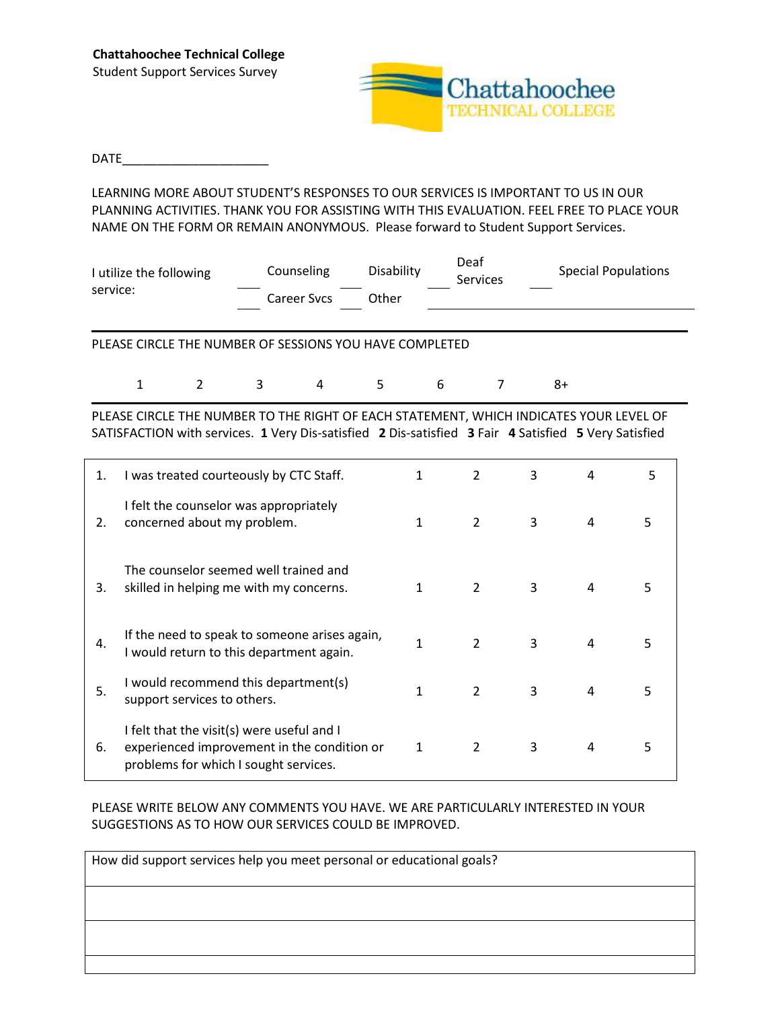

## DATE\_\_\_\_\_\_\_\_\_\_\_\_\_\_\_\_\_\_\_\_\_

LEARNING MORE ABOUT STUDENT'S RESPONSES TO OUR SERVICES IS IMPORTANT TO US IN OUR PLANNING ACTIVITIES. THANK YOU FOR ASSISTING WITH THIS EVALUATION. FEEL FREE TO PLACE YOUR NAME ON THE FORM OR REMAIN ANONYMOUS. Please forward to Student Support Services.

| I utilize the following | Counseling  | Disability | Deaf<br><b>Services</b> | <b>Special Populations</b> |  |  |
|-------------------------|-------------|------------|-------------------------|----------------------------|--|--|
| service:                | Career Sycs | ጋther      |                         |                            |  |  |

PLEASE CIRCLE THE NUMBER OF SESSIONS YOU HAVE COMPLETED

|  |  | $1$ 2 3 4 5 6 7 8+ |  |
|--|--|--------------------|--|
|  |  |                    |  |

PLEASE CIRCLE THE NUMBER TO THE RIGHT OF EACH STATEMENT, WHICH INDICATES YOUR LEVEL OF SATISFACTION with services. **1** Very Dis-satisfied **2** Dis-satisfied **3** Fair **4** Satisfied **5** Very Satisfied

| 1. | I was treated courteously by CTC Staff.                                                                                            | 1            | 2              | 3 | 4 | 5 |
|----|------------------------------------------------------------------------------------------------------------------------------------|--------------|----------------|---|---|---|
| 2. | I felt the counselor was appropriately<br>concerned about my problem.                                                              | $\mathbf{1}$ | $\overline{2}$ | 3 | 4 | 5 |
| 3. | The counselor seemed well trained and<br>skilled in helping me with my concerns.                                                   | 1            | $\overline{2}$ | 3 | 4 | 5 |
| 4. | If the need to speak to someone arises again,<br>I would return to this department again.                                          | 1            | $\overline{2}$ | 3 | 4 | 5 |
| 5. | I would recommend this department(s)<br>support services to others.                                                                | 1            | 2              | 3 | 4 | 5 |
| 6. | I felt that the visit(s) were useful and I<br>experienced improvement in the condition or<br>problems for which I sought services. | 1            | $\overline{2}$ | 3 | 4 | 5 |

## PLEASE WRITE BELOW ANY COMMENTS YOU HAVE. WE ARE PARTICULARLY INTERESTED IN YOUR SUGGESTIONS AS TO HOW OUR SERVICES COULD BE IMPROVED.

| How did support services help you meet personal or educational goals? |  |  |  |
|-----------------------------------------------------------------------|--|--|--|
|                                                                       |  |  |  |
|                                                                       |  |  |  |
|                                                                       |  |  |  |